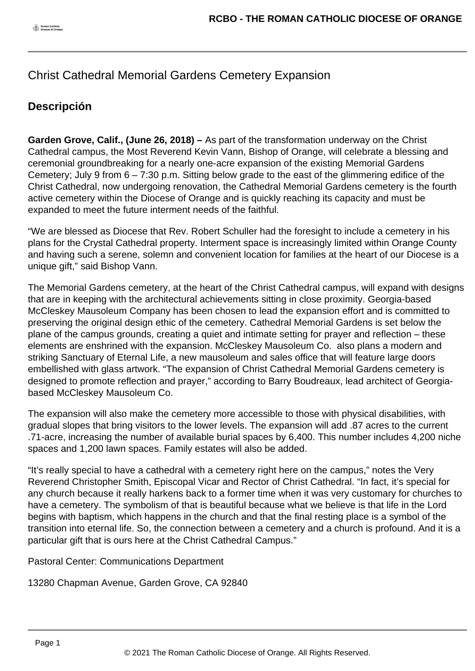## Christ Cathedral Memorial Gardens Cemetery Expansion

## **Descripción**

**Garden Grove, Calif., (June 26, 2018) –** As part of the transformation underway on the Christ Cathedral campus, the Most Reverend Kevin Vann, Bishop of Orange, will celebrate a blessing and ceremonial groundbreaking for a nearly one-acre expansion of the existing Memorial Gardens Cemetery; July 9 from  $6 - 7:30$  p.m. Sitting below grade to the east of the glimmering edifice of the Christ Cathedral, now undergoing renovation, the Cathedral Memorial Gardens cemetery is the fourth active cemetery within the Diocese of Orange and is quickly reaching its capacity and must be expanded to meet the future interment needs of the faithful.

"We are blessed as Diocese that Rev. Robert Schuller had the foresight to include a cemetery in his plans for the Crystal Cathedral property. Interment space is increasingly limited within Orange County and having such a serene, solemn and convenient location for families at the heart of our Diocese is a unique gift," said Bishop Vann.

The Memorial Gardens cemetery, at the heart of the Christ Cathedral campus, will expand with designs that are in keeping with the architectural achievements sitting in close proximity. Georgia-based McCleskey Mausoleum Company has been chosen to lead the expansion effort and is committed to preserving the original design ethic of the cemetery. Cathedral Memorial Gardens is set below the plane of the campus grounds, creating a quiet and intimate setting for prayer and reflection – these elements are enshrined with the expansion. McCleskey Mausoleum Co. also plans a modern and striking Sanctuary of Eternal Life, a new mausoleum and sales office that will feature large doors embellished with glass artwork. "The expansion of Christ Cathedral Memorial Gardens cemetery is designed to promote reflection and prayer," according to Barry Boudreaux, lead architect of Georgiabased McCleskey Mausoleum Co.

The expansion will also make the cemetery more accessible to those with physical disabilities, with gradual slopes that bring visitors to the lower levels. The expansion will add .87 acres to the current .71-acre, increasing the number of available burial spaces by 6,400. This number includes 4,200 niche spaces and 1,200 lawn spaces. Family estates will also be added.

"It's really special to have a cathedral with a cemetery right here on the campus," notes the Very Reverend Christopher Smith, Episcopal Vicar and Rector of Christ Cathedral. "In fact, it's special for any church because it really harkens back to a former time when it was very customary for churches to have a cemetery. The symbolism of that is beautiful because what we believe is that life in the Lord begins with baptism, which happens in the church and that the final resting place is a symbol of the transition into eternal life. So, the connection between a cemetery and a church is profound. And it is a particular gift that is ours here at the Christ Cathedral Campus."

Pastoral Center: Communications Department

13280 Chapman Avenue, Garden Grove, CA 92840